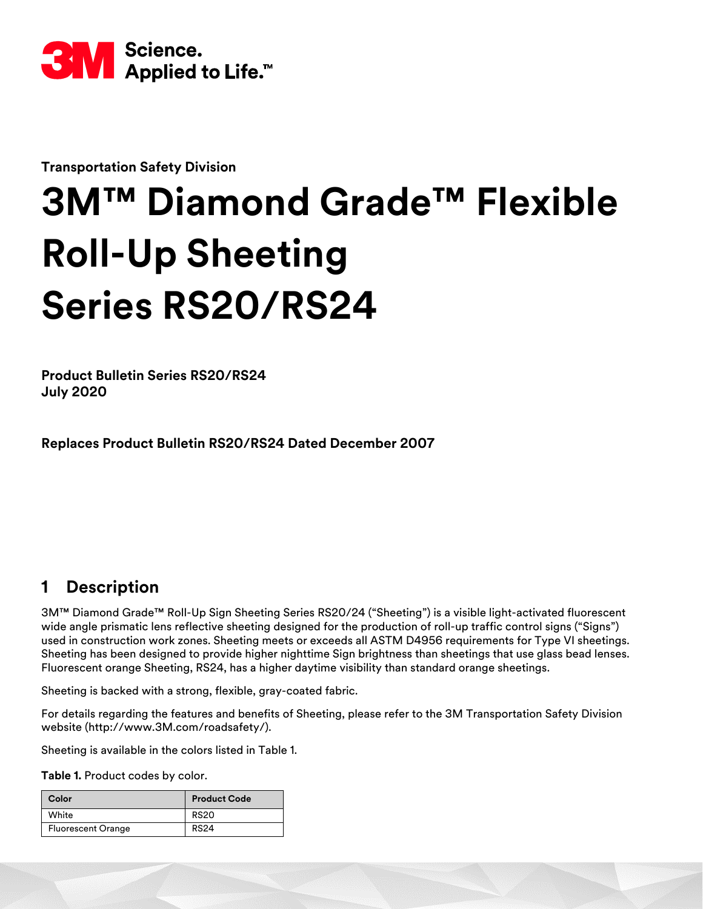

**Transportation Safety Division**

# **3M™ Diamond Grade™ Flexible Roll-Up Sheeting Series RS20/RS24**

**Product Bulletin Series RS20/RS24 July 2020**

**Replaces Product Bulletin RS20/RS24 Dated December 2007**

# **1 Description**

3M™ Diamond Grade™ Roll-Up Sign Sheeting Series RS20/24 ("Sheeting") is a visible light-activated fluorescent wide angle prismatic lens reflective sheeting designed for the production of roll-up traffic control signs ("Signs") used in construction work zones. Sheeting meets or exceeds all ASTM D4956 requirements for Type VI sheetings. Sheeting has been designed to provide higher nighttime Sign brightness than sheetings that use glass bead lenses. Fluorescent orange Sheeting, RS24, has a higher daytime visibility than standard orange sheetings.

Sheeting is backed with a strong, flexible, gray-coated fabric.

For details regarding the features and benefits of Sheeting, please refer to the 3M Transportation Safety Division website (http://www.3M.com/roadsafety/).

Sheeting is available in the colors listed in Table 1.

**Table 1.** Product codes by color.

| Color                     | <b>Product Code</b> |  |  |
|---------------------------|---------------------|--|--|
| White                     | <b>RS20</b>         |  |  |
| <b>Fluorescent Orange</b> | <b>RS24</b>         |  |  |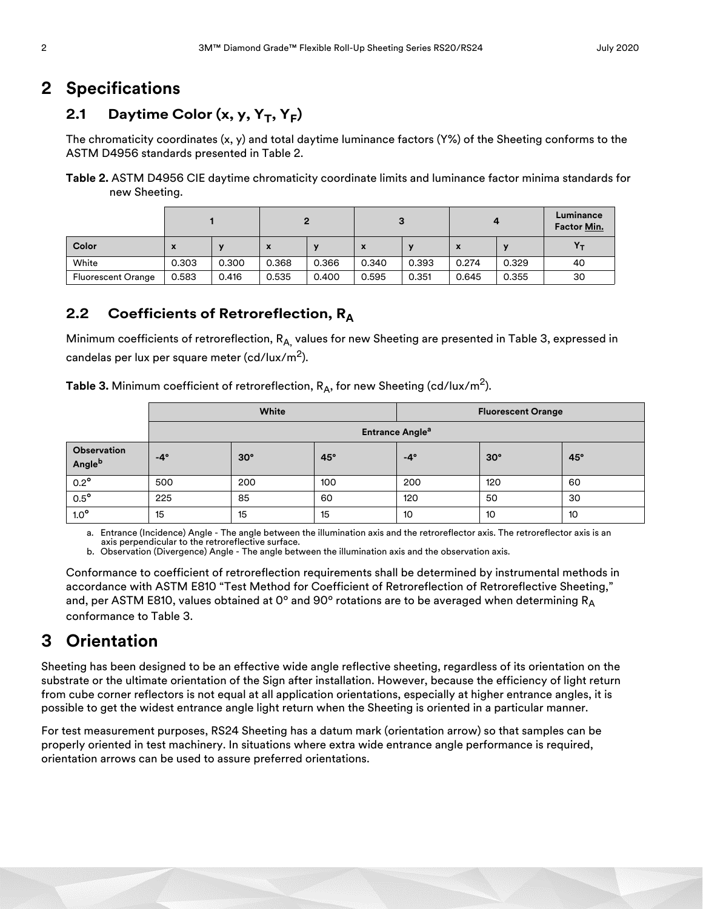## **2 Specifications**

## 2.1 Daytime Color (x, y, Y<sub>T</sub>, Y<sub>F</sub>)

The chromaticity coordinates (x, y) and total daytime luminance factors (Y%) of the Sheeting conforms to the ASTM D4956 standards presented in Table [2.](#page-1-0)

#### <span id="page-1-0"></span>**Table 2.** ASTM D4956 CIE daytime chromaticity coordinate limits and luminance factor minima standards for new Sheeting.

|                           |       |       |                           |       |                           |       | 4     |       | Luminance<br>Factor Min. |
|---------------------------|-------|-------|---------------------------|-------|---------------------------|-------|-------|-------|--------------------------|
| Color                     | X     |       | $\boldsymbol{\mathsf{A}}$ |       | $\boldsymbol{\mathsf{x}}$ |       |       |       |                          |
| White                     | 0.303 | 0.300 | 0.368                     | 0.366 | 0.340                     | 0.393 | 0.274 | 0.329 | 40                       |
| <b>Fluorescent Orange</b> | 0.583 | 0.416 | 0.535                     | 0.400 | 0.595                     | 0.351 | 0.645 | 0.355 | 30                       |

#### **2.2 Coefficients of Retroreflection, RA**

Minimum coefficients of retroreflection,  $R_{A}$ , values for new Sheeting are presented in Table [3,](#page-1-1) expressed in candelas per lux per square meter (cd/lux/m<sup>2</sup>).

<span id="page-1-1"></span>**Table 3.** Minimum coefficient of retroreflection, R<sub>A</sub>, for new Sheeting (cd/lux/m<sup>2</sup>).

|                       | White                             |            |            | <b>Fluorescent Orange</b> |            |            |
|-----------------------|-----------------------------------|------------|------------|---------------------------|------------|------------|
|                       | <b>Entrance Angle<sup>a</sup></b> |            |            |                           |            |            |
| Observation<br>Angleb | $-4^\circ$                        | $30^\circ$ | $45^\circ$ | $-4^\circ$                | $30^\circ$ | $45^\circ$ |
| $0.2^{\circ}$         | 500                               | 200        | 100        | 200                       | 120        | 60         |
| $0.5^{\circ}$         | 225                               | 85         | 60         | 120                       | 50         | 30         |
| $1.0^\circ$           | 15                                | 15         | 15         | 10                        | 10         | 10         |

a. Entrance (Incidence) Angle - The angle between the illumination axis and the retroreflector axis. The retroreflector axis is an

axis perpendicular to the retroreflective surface. b. Observation (Divergence) Angle - The angle between the illumination axis and the observation axis.

Conformance to coefficient of retroreflection requirements shall be determined by instrumental methods in accordance with ASTM E810 "Test Method for Coefficient of Retroreflection of Retroreflective Sheeting," and, per ASTM E810, values obtained at 0° and 90° rotations are to be averaged when determining  $R_A$ conformance to Table [3.](#page-1-1)

## **3 Orientation**

Sheeting has been designed to be an effective wide angle reflective sheeting, regardless of its orientation on the substrate or the ultimate orientation of the Sign after installation. However, because the efficiency of light return from cube corner reflectors is not equal at all application orientations, especially at higher entrance angles, it is possible to get the widest entrance angle light return when the Sheeting is oriented in a particular manner.

For test measurement purposes, RS24 Sheeting has a datum mark (orientation arrow) so that samples can be properly oriented in test machinery. In situations where extra wide entrance angle performance is required, orientation arrows can be used to assure preferred orientations.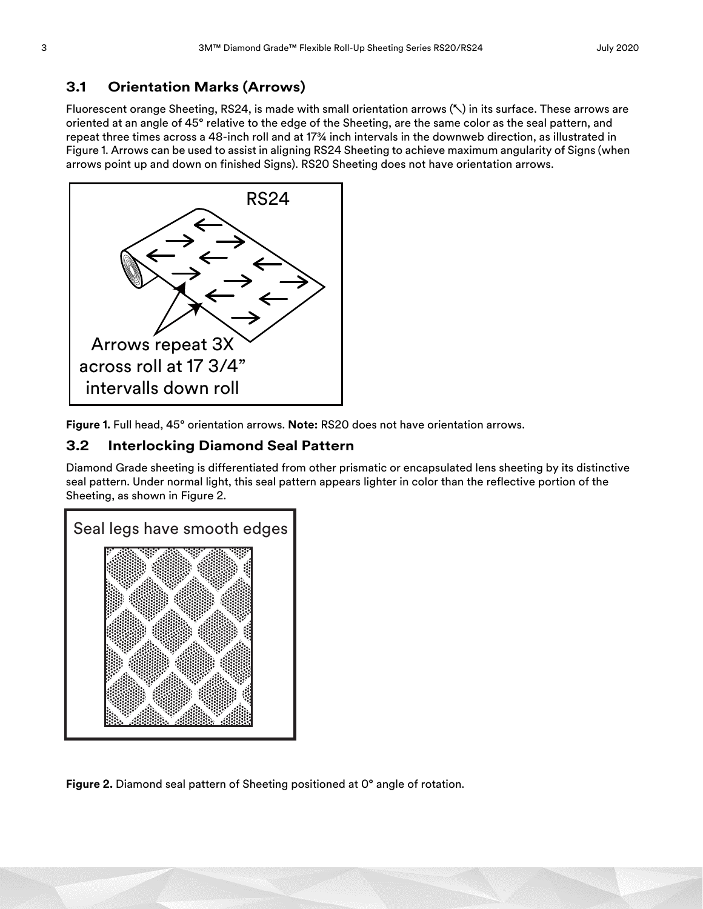#### **3.1 Orientation Marks (Arrows)**

Fluorescent orange Sheeting, RS24, is made with small orientation arrows (↖) in its surface. These arrows are oriented at an angle of 45° relative to the edge of the Sheeting, are the same color as the seal pattern, and repeat three times across a 48-inch roll and at 17¾ inch intervals in the downweb direction, as illustrated in Figure [1.](#page-2-1) Arrows can be used to assist in aligning RS24 Sheeting to achieve maximum angularity of Signs (when arrows point up and down on finished Signs). RS20 Sheeting does not have orientation arrows.



<span id="page-2-1"></span>**Figure 1.** Full head, 45° orientation arrows. **Note:** RS20 does not have orientation arrows.

#### **3.2 Interlocking Diamond Seal Pattern**

Diamond Grade sheeting is differentiated from other prismatic or encapsulated lens sheeting by its distinctive seal pattern. Under normal light, this seal pattern appears lighter in color than the reflective portion of the Sheeting, as shown in Figure [2.](#page-2-0)



<span id="page-2-0"></span>**Figure 2.** Diamond seal pattern of Sheeting positioned at 0° angle of rotation.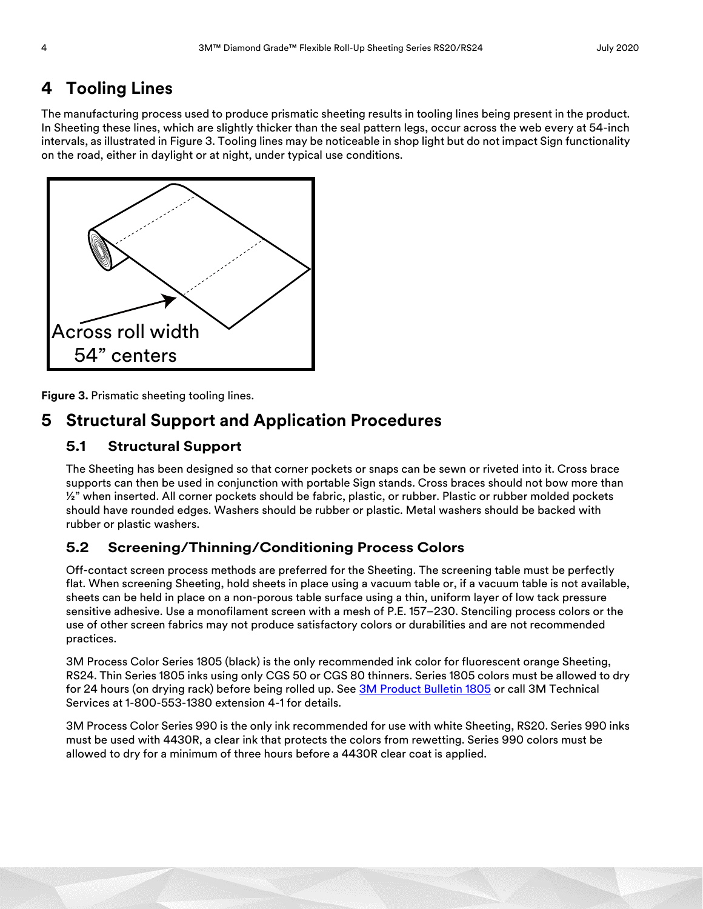# **4 Tooling Lines**

The manufacturing process used to produce prismatic sheeting results in tooling lines being present in the product. In Sheeting these lines, which are slightly thicker than the seal pattern legs, occur across the web every at 54-inch intervals, as illustrated in Figure [3](#page-3-0). Tooling lines may be noticeable in shop light but do not impact Sign functionality on the road, either in daylight or at night, under typical use conditions.



<span id="page-3-0"></span>**Figure 3.** Prismatic sheeting tooling lines.

## **5 Structural Support and Application Procedures**

#### **5.1 Structural Support**

The Sheeting has been designed so that corner pockets or snaps can be sewn or riveted into it. Cross brace supports can then be used in conjunction with portable Sign stands. Cross braces should not bow more than  $\frac{1}{2}$ " when inserted. All corner pockets should be fabric, plastic, or rubber. Plastic or rubber molded pockets should have rounded edges. Washers should be rubber or plastic. Metal washers should be backed with rubber or plastic washers.

#### **5.2 Screening/Thinning/Conditioning Process Colors**

Off-contact screen process methods are preferred for the Sheeting. The screening table must be perfectly flat. When screening Sheeting, hold sheets in place using a vacuum table or, if a vacuum table is not available, sheets can be held in place on a non-porous table surface using a thin, uniform layer of low tack pressure sensitive adhesive. Use a monofilament screen with a mesh of P.E. 157–230. Stenciling process colors or the use of other screen fabrics may not produce satisfactory colors or durabilities and are not recommended practices.

3M Process Color Series 1805 (black) is the only recommended ink color for fluorescent orange Sheeting, RS24. Thin Series 1805 inks using only CGS 50 or CGS 80 thinners. Series 1805 colors must be allowed to dry for 24 hours (on drying rack) before being rolled up. See [3M Product Bulletin 1805](http://multimedia.3m.com/mws/media/51341O/pb-1805-3mtm-process-color-1805.pdf) or call 3M Technical Services at 1-800-553-1380 extension 4-1 for details.

3M Process Color Series 990 is the only ink recommended for use with white Sheeting, RS20. Series 990 inks must be used with 4430R, a clear ink that protects the colors from rewetting. Series 990 colors must be allowed to dry for a minimum of three hours before a 4430R clear coat is applied.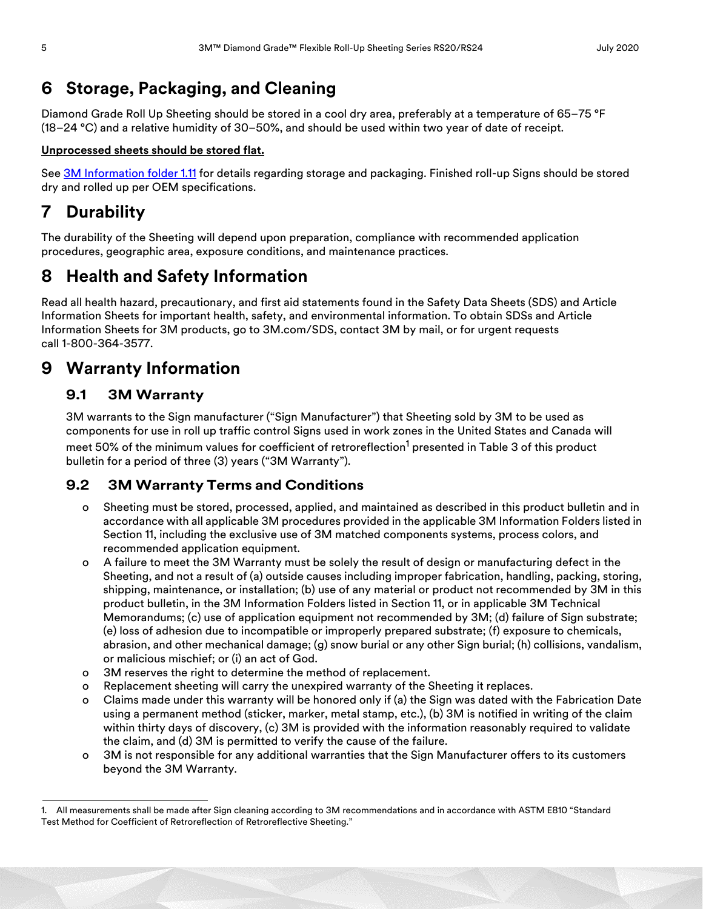## **6 Storage, Packaging, and Cleaning**

Diamond Grade Roll Up Sheeting should be stored in a cool dry area, preferably at a temperature of 65–75 °F (18–24 °C) and a relative humidity of 30–50%, and should be used within two year of date of receipt.

#### **Unprocessed sheets should be stored flat.**

See [3M Information folder 1.11](http://multimedia.3m.com/mws/media/42262O/if-1-11-3m-reflective-shtg-sign-maintenance-management.pdf) for details regarding storage and packaging. Finished roll-up Signs should be stored dry and rolled up per OEM specifications.

# **7 Durability**

The durability of the Sheeting will depend upon preparation, compliance with recommended application procedures, geographic area, exposure conditions, and maintenance practices.

## **8 Health and Safety Information**

Read all health hazard, precautionary, and first aid statements found in the Safety Data Sheets (SDS) and Article Information Sheets for important health, safety, and environmental information. To obtain SDSs and Article Information Sheets for 3M products, go to 3M.com/SDS, contact 3M by mail, or for urgent requests call 1-800-364-3577.

## **9 Warranty Information**

#### **9.1 3M Warranty**

3M warrants to the Sign manufacturer ("Sign Manufacturer") that Sheeting sold by 3M to be used as components for use in roll up traffic control Signs used in work zones in the United States and Canada will meet 50% of the minimum values for coefficient of retroreflection $^1$  presented in Table 3 of this product bulletin for a period of three (3) years ("3M Warranty").

#### **9.2 3M Warranty Terms and Conditions**

- o Sheeting must be stored, processed, applied, and maintained as described in this product bulletin and in accordance with all applicable 3M procedures provided in the applicable 3M Information Folders listed in Section [11,](#page-5-0) including the exclusive use of 3M matched components systems, process colors, and recommended application equipment.
- o A failure to meet the 3M Warranty must be solely the result of design or manufacturing defect in the Sheeting, and not a result of (a) outside causes including improper fabrication, handling, packing, storing, shipping, maintenance, or installation; (b) use of any material or product not recommended by 3M in this product bulletin, in the 3M Information Folders listed in Section [11,](#page-5-0) or in applicable 3M Technical Memorandums; (c) use of application equipment not recommended by 3M; (d) failure of Sign substrate; (e) loss of adhesion due to incompatible or improperly prepared substrate; (f) exposure to chemicals, abrasion, and other mechanical damage; (g) snow burial or any other Sign burial; (h) collisions, vandalism, or malicious mischief; or (i) an act of God.
- o 3M reserves the right to determine the method of replacement.
- o Replacement sheeting will carry the unexpired warranty of the Sheeting it replaces.
- o Claims made under this warranty will be honored only if (a) the Sign was dated with the Fabrication Date using a permanent method (sticker, marker, metal stamp, etc.), (b) 3M is notified in writing of the claim within thirty days of discovery, (c) 3M is provided with the information reasonably required to validate the claim, and (d) 3M is permitted to verify the cause of the failure.
- o 3M is not responsible for any additional warranties that the Sign Manufacturer offers to its customers beyond the 3M Warranty.

<sup>1.</sup> All measurements shall be made after Sign cleaning according to 3M recommendations and in accordance with ASTM E810 "Standard Test Method for Coefficient of Retroreflection of Retroreflective Sheeting."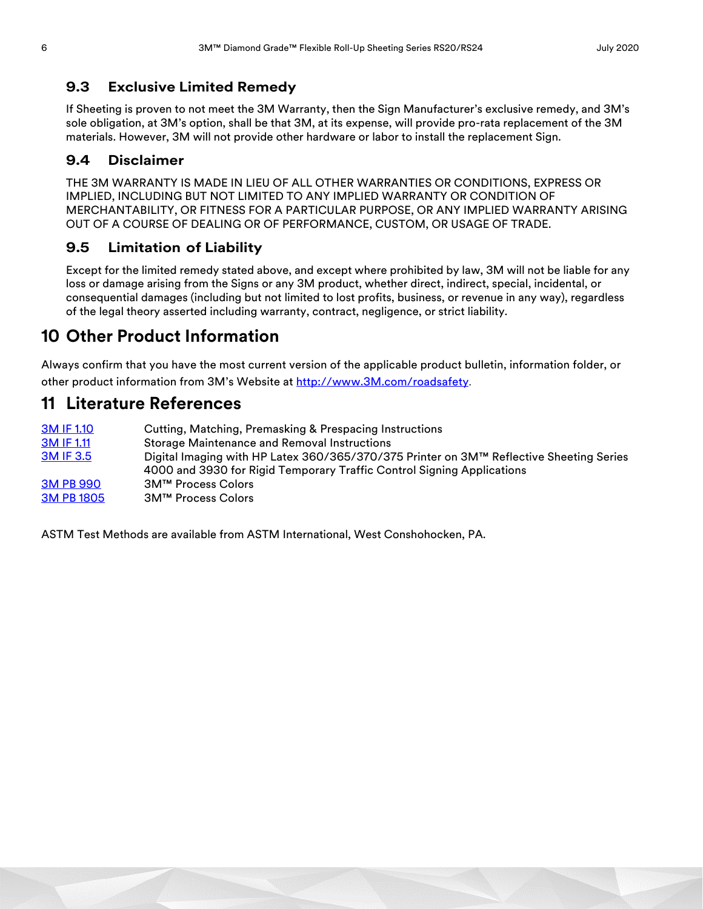#### **9.3 Exclusive Limited Remedy**

If Sheeting is proven to not meet the 3M Warranty, then the Sign Manufacturer's exclusive remedy, and 3M's sole obligation, at 3M's option, shall be that 3M, at its expense, will provide pro-rata replacement of the 3M materials. However, 3M will not provide other hardware or labor to install the replacement Sign.

#### **9.4 Disclaimer**

THE 3M WARRANTY IS MADE IN LIEU OF ALL OTHER WARRANTIES OR CONDITIONS, EXPRESS OR IMPLIED, INCLUDING BUT NOT LIMITED TO ANY IMPLIED WARRANTY OR CONDITION OF MERCHANTABILITY, OR FITNESS FOR A PARTICULAR PURPOSE, OR ANY IMPLIED WARRANTY ARISING OUT OF A COURSE OF DEALING OR OF PERFORMANCE, CUSTOM, OR USAGE OF TRADE.

#### **9.5 Limitation of Liability**

Except for the limited remedy stated above, and except where prohibited by law, 3M will not be liable for any loss or damage arising from the Signs or any 3M product, whether direct, indirect, special, incidental, or consequential damages (including but not limited to lost profits, business, or revenue in any way), regardless of the legal theory asserted including warranty, contract, negligence, or strict liability.

## **10 Other Product Information**

Always confirm that you have the most current version of the applicable product bulletin, information folder, or other product information from 3M's Website at [http://www.3M.com/roadsafety](http://www.mmm.com/tss).

### <span id="page-5-0"></span>**11 Literature References**

| <b>3M IF 1.10</b> | Cutting, Matching, Premasking & Prespacing Instructions                                 |
|-------------------|-----------------------------------------------------------------------------------------|
| <b>3M IF 1.11</b> | <b>Storage Maintenance and Removal Instructions</b>                                     |
| <b>3M IF 3.5</b>  | Digital Imaging with HP Latex 360/365/370/375 Printer on 3M™ Reflective Sheeting Series |
|                   | 4000 and 3930 for Rigid Temporary Traffic Control Signing Applications                  |
| <b>3M PB 990</b>  | 3M™ Process Colors                                                                      |
| <b>3M PB 1805</b> | 3M™ Process Colors                                                                      |

ASTM Test Methods are available from ASTM International, West Conshohocken, PA.